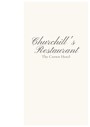Churchil ' s Restaurant

## The Crown Hotel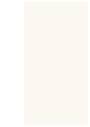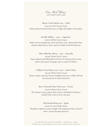75cl | 250ml | 175ml | 125ml Our Red Wines

Monte Verde Merlot 2021 – Chile  $E24.00$   $E7.80$   $E5.40$   $E3.90$ Deep-coloured and intensely juicy yet light and supple on the palate

Portillo Malbec – 2020 – Argentina  $E26.00$   $E8.80$   $E6.20$   $E4.50$ Ruby-red wine displaying a fresh and fruity nose, enhanced by hints of plum, black berries and a touch of vanilla, fresh fruit flavours

Short Mile Bay Shiraz – 2020 – Australia £25.00  $E8.50 \left| 6.75 \right| 24.00$ Deep-coloured and full-bodied with lots of rich berry fruit on the palate and a pinch of pepper spice so typical of Shiraz

Cullinan View Shiraz 2019 / 2020 – South Africa £25.00  $E_{8.50}$   $E_{6.75}$   $E_{4.00}$ Deep in colour and spicy flavour mingled with sweet vanilla oak from the maturation in small oak barrels

Rare Vineyards Pinot Noir 2020 – France  $E25.00$   $E8.50$   $E6.75$   $E4.00$ The smooth, velvety palate shows cherry and blueberry flavours backed with a hint of sweet oak spice

Don Jacobo Rioja 2017 – Spain £32.00 | £11.50 | £8.80 | £6.00 Abundant raspberry aromas mingle with sumptuous cherry; layered with a creamy barrique character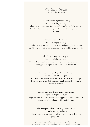75cl | 250ml | 175ml | 125ml Our White Wines

Da Luca Pinot Grigio 2020 – Italy  $E24.00$   $E7.80$   $E5.40$   $E3.90$ Showing aromas of white flowers, pink grapefruit and Cox's apple; the palate displays melon and guava flavours with a crisp acidity and rich finish

Ayrum Airen 2018 – Spain £23.00  $E_{7.80}$   $E_{5.40}$   $E_{3.90}$ Peachy and very soft with notes of lychee and pineapple. Made from the Airén grape variety, the most widely planted white grape in Spain

El Velero Verdejo 2020 – Spain £23.00  $E_{7.80}$   $E_{5.40}$   $E_{3.90}$ The Verdejo grape is an aromatic variety, this wine shows melon and green apple on the palate with floral notes on the finish

Reserve de Mirou Picpoul 2019 – France  $E26.00$   $E8.80$   $E6.20$   $E4.50$ This wine is suitable for vegan diets. Citrussy, with delicious ripe fruit, a soft taste and delicate nose with pleasant traits of acacia, hawthorn blossom

Alma Mora Chardonnay 2020 – Argentina £25.00 | £7.80 | £5.40 | £3.90 Light, dry and fresh with aromas of pineapples and white flowers. An undertone of herbal notes with tropical fruits

Vidal Sauvignon Blanc 2018/2019 – New Zealand £31.00  $|$  £10.50  $|$  £7.80  $|$  £5.20 Classic gooseberry and passion fruit aromas mingled with a crisp, grassy flavour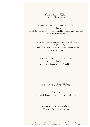75cl | 250ml | 175ml | 125ml Our Rosé Wines

Wicked Lady White Zinfandel 2020 – USA £25.00 | £7.80 | £5.40 | £3.90 A fruit-forward-yet-bold red that's loved for its red fruit flavours and smoky exotic spice notes

El Velero Tempranillo-Garnacha Rosado 2018 – Spain £24.00 | £7.80 | £5.40 | £3.90 A deep-coloured rosé, with red fruit aromas reminiscent of redcurrant and cherry

> Corte Vigna Pinot Grigio 2020 – Italy £26.00 | £7.80 | £5.40 | £3.90 A slightly medium-dry rosé, soft and fruity

Our Sparkling Wines

Prosecco Small bottle (200ml), £8.50 | Bottle (75cl), £27.50

Champagne Tattinger Brut Reserve 750 ml| £ 67.00 Tattinger Rosé 750 ml | £67.00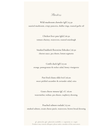Starters

Wild mushroom chowder (gf) | £5.50 sautéed mushroom, crispy pancetta, shallot rings, roasted garlic oil

> Chicken liver pate (gfa) | £6.50 tomato chutney, watercress, toasted sourdough

> Smoked haddock florentine fishcakes | £6.50 choron sauce, pea shoots, lemon segments

Confit duck (gf) | £7.00 orange, pomegranate & rocket salad, honey vinaigrette

Pan fried chana tikki (ve) | £6.00 sweet pickled cucumber & coriander salad, raita

Goats cheese mousse  $(gf, v)$  £6.00 watermelon, walnut, pea shoots, raspberry dressing.

Poached salmon roulade | £7.00 smoked salmon, cream cheese purée, watercress, brown bread dressing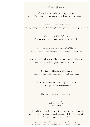Main Courses

Chargrilled 8oz sirloin steak (gf) | £20.00 Maître d'hôtel butter, mushroom, tomato, hand cut chips, watercress

Pan roasted pork fillet | £17.00 creamy mash potato, black pudding bon bon's, sticky red cabbage, apple jus

> Grilled sea bass fillet (gf) | £18.00 chive crusted new potatoes, fine beans, avocado salsa

Moroccan style butternut squash (ve) | £13.50 chickpea puree, roasted pepper cous cous, apricot vinaigrette

Roasted chicken breast stuffed with mozzarella (gf) | £16.00 pommes anna, italian style ratatouille, cacciatore jus

Beer battered haddock fillet | £13.50 hand cut chips, mushy peas, tartar sauce, lemon wedge

Cauliflower & almond curry (gf, ve)  $\vert$  £13.50 pilaf rice, poppadum, mango chutney

The Crown pasta of the day  $\vert$  £13.50

£4.00 each Side Orders

hand cut chips | mash potato (gf) | sautéed new potatoes (gf) onion rings | roasted carrots & parsnip (gf) | fine beans (gf) house salad (gf) | caesar salad